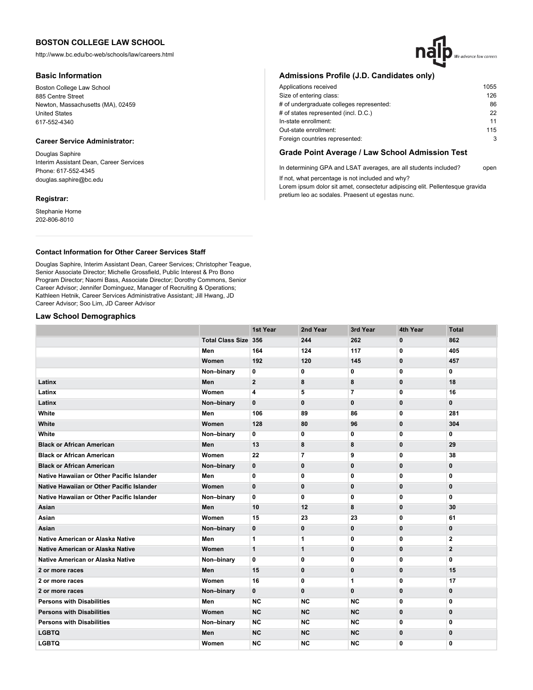http://www.bc.edu/bc-web/schools/law/careers.html

### **Basic Information**

Boston College Law School 885 Centre Street Newton, Massachusetts (MA), 02459 United States 617-552-4340

# **Career Service Administrator:**

Douglas Saphire Interim Assistant Dean, Career Services Phone: 617-552-4345 douglas.saphire@bc.edu

### **Registrar:**

Stephanie Horne 202-806-8010

# **Admissions Profile (J.D. Candidates only)**

| Applications received                    | 1055 |
|------------------------------------------|------|
| Size of entering class:                  | 126  |
| # of undergraduate colleges represented: | 86   |
| # of states represented (incl. D.C.)     | 22   |
| In-state enrollment:                     | 11   |
| Out-state enrollment:                    | 115  |
| Foreign countries represented:           | 3    |

## **Grade Point Average / Law School Admission Test**

In determining GPA and LSAT averages, are all students included? open If not, what percentage is not included and why?

Lorem ipsum dolor sit amet, consectetur adipiscing elit. Pellentesque gravida pretium leo ac sodales. Praesent ut egestas nunc.

## **Contact Information for Other Career Services Staff**

Douglas Saphire, Interim Assistant Dean, Career Services; Christopher Teague, Senior Associate Director; Michelle Grossfield, Public Interest & Pro Bono Program Director; Naomi Bass, Associate Director; Dorothy Commons, Senior Career Advisor; Jennifer Dominguez, Manager of Recruiting & Operations; Kathleen Hetnik, Career Services Administrative Assistant; Jill Hwang, JD Career Advisor; Soo Lim, JD Career Advisor

## **Law School Demographics**

|                                           |                             | 1st Year       | 2nd Year                 | 3rd Year       | 4th Year     | <b>Total</b>   |
|-------------------------------------------|-----------------------------|----------------|--------------------------|----------------|--------------|----------------|
|                                           | <b>Total Class Size 356</b> |                | 244                      | 262            | $\mathbf 0$  | 862            |
|                                           | Men                         | 164            | 124                      | 117            | $\mathbf 0$  | 405            |
|                                           | Women                       | 192            | 120                      | 145            | $\bf{0}$     | 457            |
|                                           | Non-binary                  | 0              | 0                        | 0              | 0            | 0              |
| Latinx                                    | Men                         | $\overline{2}$ | 8                        | 8              | $\mathbf{0}$ | 18             |
| Latinx                                    | Women                       | 4              | 5                        | $\overline{7}$ | 0            | 16             |
| Latinx                                    | Non-binary                  | $\mathbf{0}$   | $\mathbf 0$              | $\mathbf{0}$   | $\mathbf 0$  | $\mathbf{0}$   |
| White                                     | Men                         | 106            | 89                       | 86             | 0            | 281            |
| White                                     | Women                       | 128            | 80                       | 96             | $\mathbf 0$  | 304            |
| White                                     | Non-binary                  | 0              | 0                        | 0              | 0            | 0              |
| <b>Black or African American</b>          | Men                         | 13             | 8                        | 8              | $\mathbf{0}$ | 29             |
| <b>Black or African American</b>          | Women                       | 22             | $\overline{\phantom{a}}$ | 9              | 0            | 38             |
| <b>Black or African American</b>          | Non-binary                  | 0              | 0                        | 0              | 0            | 0              |
| Native Hawaiian or Other Pacific Islander | Men                         | 0              | $\mathbf 0$              | 0              | $\mathbf{0}$ | 0              |
| Native Hawaiian or Other Pacific Islander | Women                       | $\mathbf{0}$   | $\mathbf{0}$             | $\mathbf{0}$   | $\mathbf{0}$ | $\mathbf{0}$   |
| Native Hawaiian or Other Pacific Islander | Non-binary                  | 0              | 0                        | 0              | 0            | 0              |
| Asian                                     | Men                         | 10             | 12                       | 8              | $\mathbf{0}$ | 30             |
| Asian                                     | Women                       | 15             | 23                       | 23             | 0            | 61             |
| Asian                                     | Non-binary                  | 0              | 0                        | 0              | $\mathbf 0$  | $\mathbf{0}$   |
| Native American or Alaska Native          | Men                         | $\mathbf{1}$   | 1                        | 0              | $\mathbf{0}$ | $\overline{2}$ |
| <b>Native American or Alaska Native</b>   | Women                       | $\mathbf{1}$   | 1                        | 0              | $\mathbf{0}$ | $\overline{2}$ |
| Native American or Alaska Native          | Non-binary                  | 0              | 0                        | 0              | 0            | 0              |
| 2 or more races                           | Men                         | 15             | 0                        | 0              | $\mathbf 0$  | 15             |
| 2 or more races                           | Women                       | 16             | 0                        | 1              | 0            | 17             |
| 2 or more races                           | Non-binary                  | $\mathbf{0}$   | $\mathbf{0}$             | $\mathbf{0}$   | $\mathbf{0}$ | $\mathbf{0}$   |
| <b>Persons with Disabilities</b>          | Men                         | <b>NC</b>      | <b>NC</b>                | <b>NC</b>      | 0            | 0              |
| <b>Persons with Disabilities</b>          | Women                       | <b>NC</b>      | <b>NC</b>                | <b>NC</b>      | $\mathbf{0}$ | $\mathbf{0}$   |
| <b>Persons with Disabilities</b>          | Non-binary                  | <b>NC</b>      | <b>NC</b>                | <b>NC</b>      | 0            | 0              |
| <b>LGBTQ</b>                              | Men                         | <b>NC</b>      | <b>NC</b>                | <b>NC</b>      | $\mathbf 0$  | $\mathbf{0}$   |
| <b>LGBTQ</b>                              | Women                       | <b>NC</b>      | <b>NC</b>                | <b>NC</b>      | $\mathbf{0}$ | 0              |
|                                           |                             |                |                          |                |              |                |

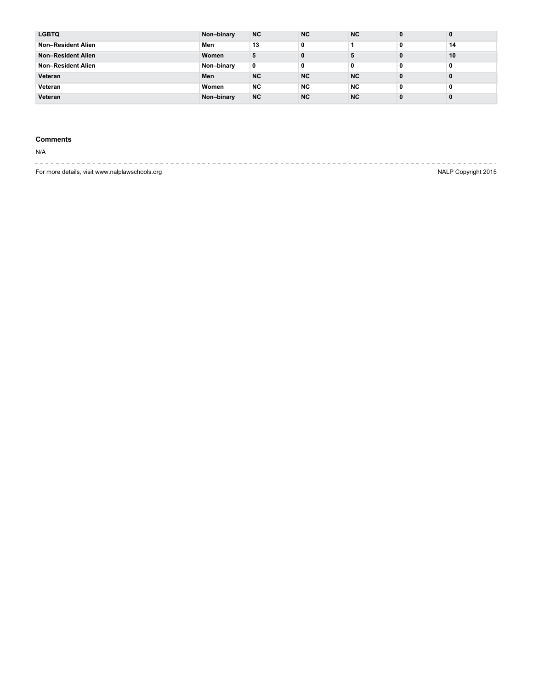| <b>LGBTQ</b>              | Non-binary | <b>NC</b> | <b>NC</b> | <b>NC</b> | 0            | $\bf{0}$ |
|---------------------------|------------|-----------|-----------|-----------|--------------|----------|
| Non-Resident Alien        | Men        | 13        | 0         |           | 0            | 14       |
| <b>Non-Resident Alien</b> | Women      |           | 0         |           | 0            | 10       |
| Non-Resident Alien        | Non-binary | 0         | 0         | 0         | 0            | 0        |
| Veteran                   | Men        | <b>NC</b> | <b>NC</b> | <b>NC</b> | 0            | 0        |
| Veteran                   | Women      | NC.       | <b>NC</b> | <b>NC</b> | 0            | 0        |
| Veteran                   | Non-binary | <b>NC</b> | <b>NC</b> | <b>NC</b> | $\mathbf{0}$ | 0        |

# **Comments**

N/A

-------------------- $\sim$   $\sim$  $\sim$   $-$ ----------------- $\sim$ For more details, visit www.nalplawschools.org NALP Copyright 2015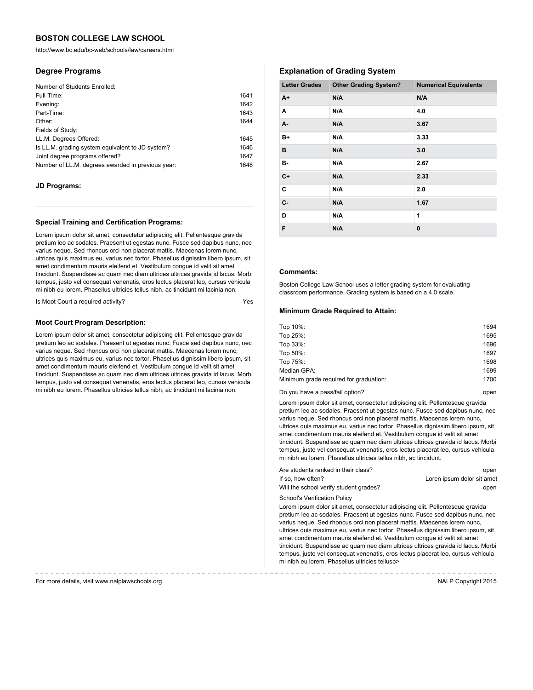http://www.bc.edu/bc-web/schools/law/careers.html

## **Degree Programs**

| 1641 |
|------|
| 1642 |
| 1643 |
| 1644 |
|      |
| 1645 |
| 1646 |
| 1647 |
| 1648 |
|      |

### **JD Programs:**

#### **Special Training and Certification Programs:**

Lorem ipsum dolor sit amet, consectetur adipiscing elit. Pellentesque gravida pretium leo ac sodales. Praesent ut egestas nunc. Fusce sed dapibus nunc, nec varius neque. Sed rhoncus orci non placerat mattis. Maecenas lorem nunc, ultrices quis maximus eu, varius nec tortor. Phasellus dignissim libero ipsum, sit amet condimentum mauris eleifend et. Vestibulum congue id velit sit amet tincidunt. Suspendisse ac quam nec diam ultrices ultrices gravida id lacus. Morbi tempus, justo vel consequat venenatis, eros lectus placerat leo, cursus vehicula mi nibh eu lorem. Phasellus ultricies tellus nibh, ac tincidunt mi lacinia non.

Is Moot Court a required activity?

### **Moot Court Program Description:**

Lorem ipsum dolor sit amet, consectetur adipiscing elit. Pellentesque gravida pretium leo ac sodales. Praesent ut egestas nunc. Fusce sed dapibus nunc, nec varius neque. Sed rhoncus orci non placerat mattis. Maecenas lorem nunc, ultrices quis maximus eu, varius nec tortor. Phasellus dignissim libero ipsum, sit amet condimentum mauris eleifend et. Vestibulum congue id velit sit amet tincidunt. Suspendisse ac quam nec diam ultrices ultrices gravida id lacus. Morbi tempus, justo vel consequat venenatis, eros lectus placerat leo, cursus vehicula mi nibh eu lorem. Phasellus ultricies tellus nibh, ac tincidunt mi lacinia non.

# **Explanation of Grading System**

| <b>Letter Grades</b> | <b>Other Grading System?</b> | <b>Numerical Equivalents</b> |
|----------------------|------------------------------|------------------------------|
| $A+$                 | N/A                          | N/A                          |
| Α                    | N/A                          | 4.0                          |
| А-                   | N/A                          | 3.67                         |
| B+                   | N/A                          | 3.33                         |
| в                    | N/A                          | 3.0                          |
| в-                   | N/A                          | 2.67                         |
| $C+$                 | N/A                          | 2.33                         |
| C                    | N/A                          | 2.0                          |
| $C -$                | N/A                          | 1.67                         |
| D                    | N/A                          | 1                            |
| F                    | N/A                          | 0                            |

## **Comments:**

Boston College Law School uses a letter grading system for evaluating classroom performance. Grading system is based on a 4.0 scale.

### **Minimum Grade Required to Attain:**

| Top 10%:                               | 1694 |
|----------------------------------------|------|
| Top 25%:                               | 1695 |
| Top 33%:                               | 1696 |
| Top 50%:                               | 1697 |
| Top 75%:                               | 1698 |
| Median GPA:                            | 1699 |
| Minimum grade required for graduation: | 1700 |
|                                        |      |

| Do vou have a pass/fail option? | open |
|---------------------------------|------|
|---------------------------------|------|

Lorem ipsum dolor sit amet, consectetur adipiscing elit. Pellentesque gravida pretium leo ac sodales. Praesent ut egestas nunc. Fusce sed dapibus nunc, nec varius neque. Sed rhoncus orci non placerat mattis. Maecenas lorem nunc, ultrices quis maximus eu, varius nec tortor. Phasellus dignissim libero ipsum, sit amet condimentum mauris eleifend et. Vestibulum congue id velit sit amet tincidunt. Suspendisse ac quam nec diam ultrices ultrices gravida id lacus. Morbi tempus, justo vel consequat venenatis, eros lectus placerat leo, cursus vehicula mi nibh eu lorem. Phasellus ultricies tellus nibh, ac tincidunt.

| Are students ranked in their class?    | open                       |
|----------------------------------------|----------------------------|
| If so. how often?                      | Loren ipsum dolor sit amet |
| Will the school verify student grades? | open                       |

School's Verification Policy

Lorem ipsum dolor sit amet, consectetur adipiscing elit. Pellentesque gravida pretium leo ac sodales. Praesent ut egestas nunc. Fusce sed dapibus nunc, nec varius neque. Sed rhoncus orci non placerat mattis. Maecenas lorem nunc, ultrices quis maximus eu, varius nec tortor. Phasellus dignissim libero ipsum, sit amet condimentum mauris eleifend et. Vestibulum congue id velit sit amet tincidunt. Suspendisse ac quam nec diam ultrices ultrices gravida id lacus. Morbi tempus, justo vel consequat venenatis, eros lectus placerat leo, cursus vehicula mi nibh eu lorem. Phasellus ultricies tellusp>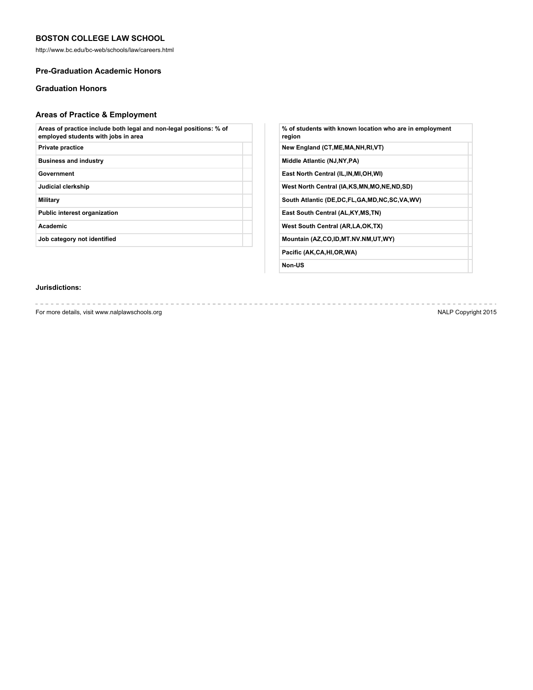http://www.bc.edu/bc-web/schools/law/careers.html

## **Pre-Graduation Academic Honors**

# **Graduation Honors**

# **Areas of Practice & Employment**

| Areas of practice include both legal and non-legal positions: % of<br>employed students with jobs in area |  |
|-----------------------------------------------------------------------------------------------------------|--|
| Private practice                                                                                          |  |
| <b>Business and industry</b>                                                                              |  |
| Government                                                                                                |  |
| Judicial clerkship                                                                                        |  |
| Military                                                                                                  |  |
| <b>Public interest organization</b>                                                                       |  |
| <b>Academic</b>                                                                                           |  |
| Job category not identified                                                                               |  |
|                                                                                                           |  |

| % of students with known location who are in employment<br>region |
|-------------------------------------------------------------------|
| New England (CT, ME, MA, NH, RI, VT)                              |
| Middle Atlantic (NJ, NY, PA)                                      |
| East North Central (IL, IN, MI, OH, WI)                           |
| West North Central (IA,KS,MN,MO,NE,ND,SD)                         |
| South Atlantic (DE,DC,FL,GA,MD,NC,SC,VA,WV)                       |
| East South Central (AL, KY, MS, TN)                               |
| West South Central (AR, LA, OK, TX)                               |
| Mountain (AZ,CO,ID,MT.NV.NM,UT,WY)                                |
| Pacific (AK,CA,HI,OR,WA)                                          |
|                                                                   |

**Non-US**

# **Jurisdictions:**

For more details, visit www.nalplawschools.org NALP Copyright 2015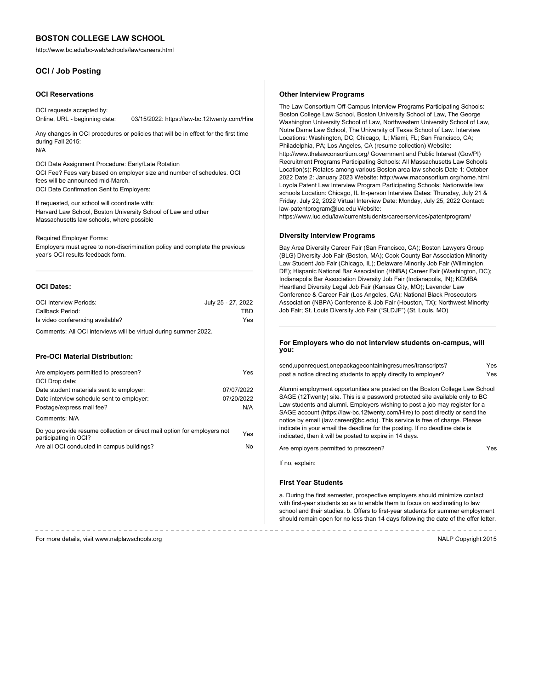http://www.bc.edu/bc-web/schools/law/careers.html

# **OCI / Job Posting**

#### **OCI Reservations**

OCI requests accepted by: Online, URL - beginning date: 03/15/2022: https://law-bc.12twenty.com/Hire

Any changes in OCI procedures or policies that will be in effect for the first time during Fall 2015: N/A

OCI Date Assignment Procedure: Early/Late Rotation OCI Fee? Fees vary based on employer size and number of schedules. OCI fees will be announced mid-March. OCI Date Confirmation Sent to Employers:

If requested, our school will coordinate with: Harvard Law School, Boston University School of Law and other Massachusetts law schools, where possible

Required Employer Forms:

Employers must agree to non-discrimination policy and complete the previous year's OCI results feedback form.

#### **OCI Dates:**

| <b>OCI Interview Periods:</b>    | July 25 - 27, 2022 |
|----------------------------------|--------------------|
| Callback Period:                 | TBD                |
| Is video conferencing available? | Yes                |

Comments: All OCI interviews will be virtual during summer 2022.

#### **Pre-OCI Material Distribution:**

| Are employers permitted to prescreen?                                                             | Yes        |
|---------------------------------------------------------------------------------------------------|------------|
| OCI Drop date:                                                                                    |            |
| Date student materials sent to employer:                                                          | 07/07/2022 |
| Date interview schedule sent to employer:                                                         | 07/20/2022 |
| Postage/express mail fee?                                                                         | N/A        |
| Comments: N/A                                                                                     |            |
| Do you provide resume collection or direct mail option for employers not<br>participating in OCI? | Yes        |
| Are all OCI conducted in campus buildings?                                                        | No.        |
|                                                                                                   |            |

#### **Other Interview Programs**

The Law Consortium Off-Campus Interview Programs Participating Schools: Boston College Law School, Boston University School of Law, The George Washington University School of Law, Northwestern University School of Law, Notre Dame Law School, The University of Texas School of Law. Interview Locations: Washington, DC; Chicago, IL; Miami, FL; San Francisco, CA; Philadelphia, PA; Los Angeles, CA (resume collection) Website: http://www.thelawconsortium.org/ Government and Public Interest (Gov/PI) Recruitment Programs Participating Schools: All Massachusetts Law Schools Location(s): Rotates among various Boston area law schools Date 1: October 2022 Date 2: January 2023 Website: http://www.maconsortium.org/home.html Loyola Patent Law Interview Program Participating Schools: Nationwide law schools Location: Chicago, IL In-person Interview Dates: Thursday, July 21 & Friday, July 22, 2022 Virtual Interview Date: Monday, July 25, 2022 Contact: law-patentprogram@luc.edu Website:

https://www.luc.edu/law/currentstudents/careerservices/patentprogram/

#### **Diversity Interview Programs**

Bay Area Diversity Career Fair (San Francisco, CA); Boston Lawyers Group (BLG) Diversity Job Fair (Boston, MA); Cook County Bar Association Minority Law Student Job Fair (Chicago, IL); Delaware Minority Job Fair (Wilmington, DE); Hispanic National Bar Association (HNBA) Career Fair (Washington, DC); Indianapolis Bar Association Diversity Job Fair (Indianapolis, IN); KCMBA Heartland Diversity Legal Job Fair (Kansas City, MO); Lavender Law Conference & Career Fair (Los Angeles, CA); National Black Prosecutors Association (NBPA) Conference & Job Fair (Houston, TX); Northwest Minority Job Fair; St. Louis Diversity Job Fair ("SLDJF") (St. Louis, MO)

#### **For Employers who do not interview students on-campus, will you:**

| send,uponrequest,onepackagecontainingresumes/transcripts?       | Yes |
|-----------------------------------------------------------------|-----|
| post a notice directing students to apply directly to employer? | Yes |

Alumni employment opportunities are posted on the Boston College Law School SAGE (12Twenty) site. This is a password protected site available only to BC Law students and alumni. Employers wishing to post a job may register for a SAGE account (https://law-bc.12twenty.com/Hire) to post directly or send the notice by email (law.career@bc.edu). This service is free of charge. Please indicate in your email the deadline for the posting. If no deadline date is indicated, then it will be posted to expire in 14 days.

Are employers permitted to prescreen?

If no, explain:

### **First Year Students**

a. During the first semester, prospective employers should minimize contact with first-year students so as to enable them to focus on acclimating to law school and their studies. b. Offers to first-year students for summer employment should remain open for no less than 14 days following the date of the offer letter.

-------------------------------

For more details, visit www.nalplawschools.org NALP Copyright 2015

-----------